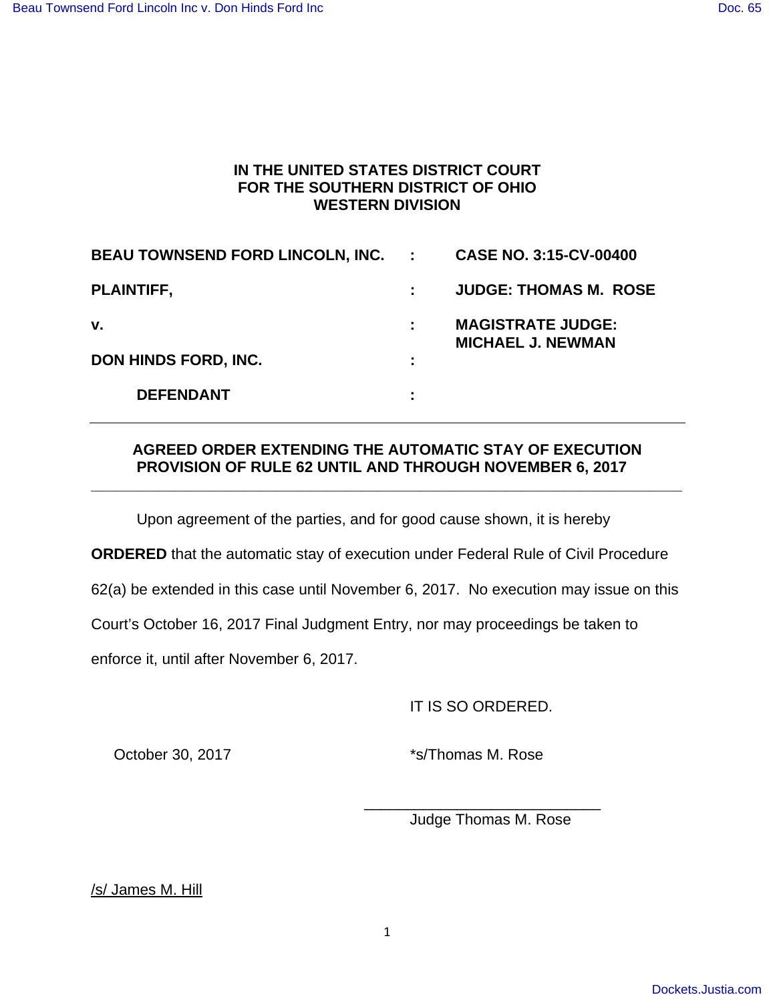## **IN THE UNITED STATES DISTRICT COURT FOR THE SOUTHERN DISTRICT OF OHIO WESTERN DIVISION**

| <b>BEAU TOWNSEND FORD LINCOLN, INC.</b> | $\mathbb{Z}^n$ | <b>CASE NO. 3:15-CV-00400</b>                        |
|-----------------------------------------|----------------|------------------------------------------------------|
| <b>PLAINTIFF,</b>                       |                | <b>JUDGE: THOMAS M. ROSE</b>                         |
| v.                                      | ÷              | <b>MAGISTRATE JUDGE:</b><br><b>MICHAEL J. NEWMAN</b> |
| DON HINDS FORD, INC.                    | ÷              |                                                      |
| <b>DEFENDANT</b>                        | ٠              |                                                      |

## **AGREED ORDER EXTENDING THE AUTOMATIC STAY OF EXECUTION PROVISION OF RULE 62 UNTIL AND THROUGH NOVEMBER 6, 2017**

**\_\_\_\_\_\_\_\_\_\_\_\_\_\_\_\_\_\_\_\_\_\_\_\_\_\_\_\_\_\_\_\_\_\_\_\_\_\_\_\_\_\_\_\_\_\_\_\_\_\_\_\_\_\_\_\_\_\_\_\_\_\_\_\_\_\_\_\_\_\_** 

Upon agreement of the parties, and for good cause shown, it is hereby

**ORDERED** that the automatic stay of execution under Federal Rule of Civil Procedure

62(a) be extended in this case until November 6, 2017. No execution may issue on this

Court's October 16, 2017 Final Judgment Entry, nor may proceedings be taken to

 $\frac{1}{2}$  ,  $\frac{1}{2}$  ,  $\frac{1}{2}$  ,  $\frac{1}{2}$  ,  $\frac{1}{2}$  ,  $\frac{1}{2}$  ,  $\frac{1}{2}$  ,  $\frac{1}{2}$  ,  $\frac{1}{2}$  ,  $\frac{1}{2}$  ,  $\frac{1}{2}$  ,  $\frac{1}{2}$  ,  $\frac{1}{2}$  ,  $\frac{1}{2}$  ,  $\frac{1}{2}$  ,  $\frac{1}{2}$  ,  $\frac{1}{2}$  ,  $\frac{1}{2}$  ,  $\frac{1$ 

enforce it, until after November 6, 2017.

IT IS SO ORDERED.

October 30, 2017 **\***s/Thomas M. Rose

Judge Thomas M. Rose

/s/ James M. Hill